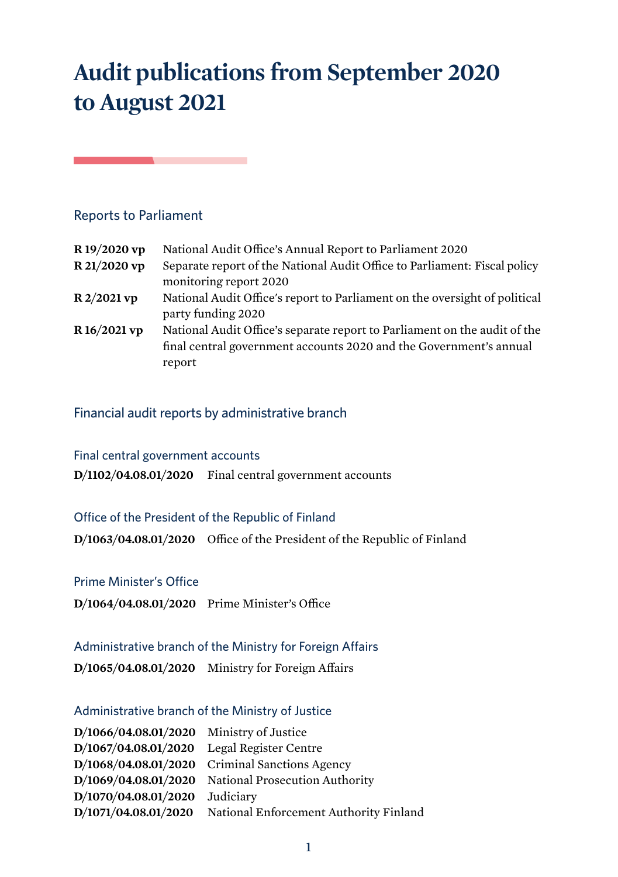# **Audit publications from September 2020 to August 2021**

# Reports to Parliament

the control of the control of the

| R 19/2020 vp | National Audit Office's Annual Report to Parliament 2020                   |
|--------------|----------------------------------------------------------------------------|
| R 21/2020 vp | Separate report of the National Audit Office to Parliament: Fiscal policy  |
|              | monitoring report 2020                                                     |
| R 2/2021 vp  | National Audit Office's report to Parliament on the oversight of political |
|              | party funding 2020                                                         |
| R 16/2021 vp | National Audit Office's separate report to Parliament on the audit of the  |
|              | final central government accounts 2020 and the Government's annual         |
|              | report                                                                     |

# Financial audit reports by administrative branch

| Final central government accounts |                                                          |
|-----------------------------------|----------------------------------------------------------|
|                                   | $D/1102/04.08.01/2020$ Final central government accounts |

#### Office of the President of the Republic of Finland

**D/1063/04.08.01/2020** Office of the President of the Republic of Finland

#### Prime Minister's Office

**D/1064/04.08.01/2020** Prime Minister's Office

## Administrative branch of the Ministry for Foreign Affairs

**D/1065/04.08.01/2020** Ministry for Foreign Affairs

## Administrative branch of the Ministry of Justice

| D/1066/04.08.01/2020 Ministry of Justice     |                                                             |
|----------------------------------------------|-------------------------------------------------------------|
| $D/1067/04.08.01/2020$ Legal Register Centre |                                                             |
|                                              | $D/1068/04.08.01/2020$ Criminal Sanctions Agency            |
|                                              | D/1069/04.08.01/2020 National Prosecution Authority         |
| D/1070/04.08.01/2020 Judiciary               |                                                             |
|                                              | D/1071/04.08.01/2020 National Enforcement Authority Finland |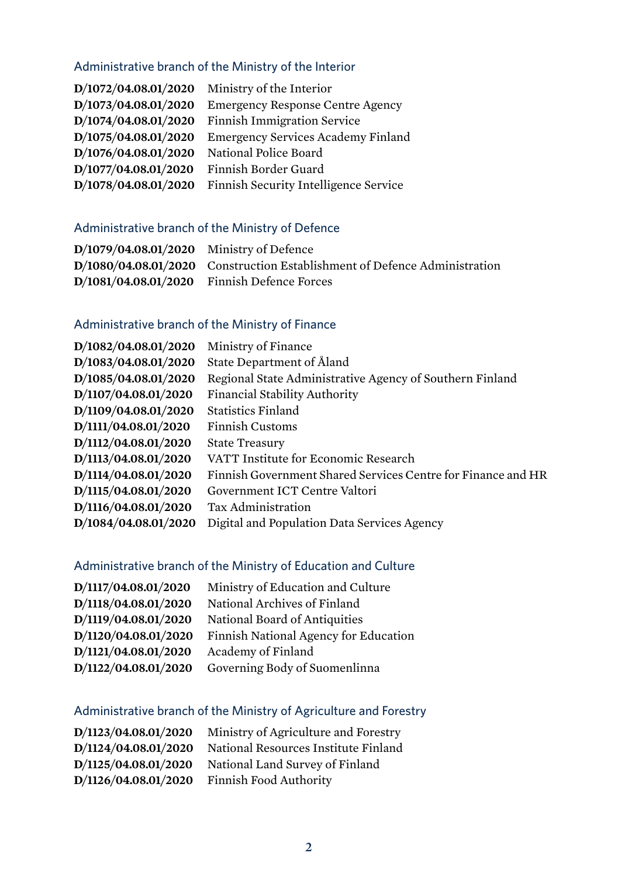# Administrative branch of the Ministry of the Interior

| D/1072/04.08.01/2020 | Ministry of the Interior                  |
|----------------------|-------------------------------------------|
| D/1073/04.08.01/2020 | <b>Emergency Response Centre Agency</b>   |
| D/1074/04.08.01/2020 | <b>Finnish Immigration Service</b>        |
| D/1075/04.08.01/2020 | <b>Emergency Services Academy Finland</b> |
| D/1076/04.08.01/2020 | National Police Board                     |
| D/1077/04.08.01/2020 | Finnish Border Guard                      |
| D/1078/04.08.01/2020 | Finnish Security Intelligence Service     |

# Administrative branch of the Ministry of Defence

| $D/1079/04.08.01/2020$ Ministry of Defence |                                                                           |
|--------------------------------------------|---------------------------------------------------------------------------|
|                                            | D/1080/04.08.01/2020 Construction Establishment of Defence Administration |
|                                            | D/1081/04.08.01/2020 Finnish Defence Forces                               |

# Administrative branch of the Ministry of Finance

| D/1082/04.08.01/2020 | Ministry of Finance                                          |
|----------------------|--------------------------------------------------------------|
| D/1083/04.08.01/2020 | State Department of Åland                                    |
| D/1085/04.08.01/2020 | Regional State Administrative Agency of Southern Finland     |
| D/1107/04.08.01/2020 | <b>Financial Stability Authority</b>                         |
| D/1109/04.08.01/2020 | <b>Statistics Finland</b>                                    |
| D/1111/04.08.01/2020 | <b>Finnish Customs</b>                                       |
| D/1112/04.08.01/2020 | <b>State Treasury</b>                                        |
| D/1113/04.08.01/2020 | VATT Institute for Economic Research                         |
| D/1114/04.08.01/2020 | Finnish Government Shared Services Centre for Finance and HR |
| D/1115/04.08.01/2020 | Government ICT Centre Valtori                                |
| D/1116/04.08.01/2020 | Tax Administration                                           |
| D/1084/04.08.01/2020 | Digital and Population Data Services Agency                  |

# Administrative branch of the Ministry of Education and Culture

| D/1117/04.08.01/2020 | Ministry of Education and Culture     |
|----------------------|---------------------------------------|
| D/1118/04.08.01/2020 | National Archives of Finland          |
| D/1119/04.08.01/2020 | National Board of Antiquities         |
| D/1120/04.08.01/2020 | Finnish National Agency for Education |
| D/1121/04.08.01/2020 | Academy of Finland                    |
| D/1122/04.08.01/2020 | Governing Body of Suomenlinna         |

# Administrative branch of the Ministry of Agriculture and Forestry

| D/1123/04.08.01/2020 | Ministry of Agriculture and Forestry |
|----------------------|--------------------------------------|
| D/1124/04.08.01/2020 | National Resources Institute Finland |
| D/1125/04.08.01/2020 | National Land Survey of Finland      |
| D/1126/04.08.01/2020 | Finnish Food Authority               |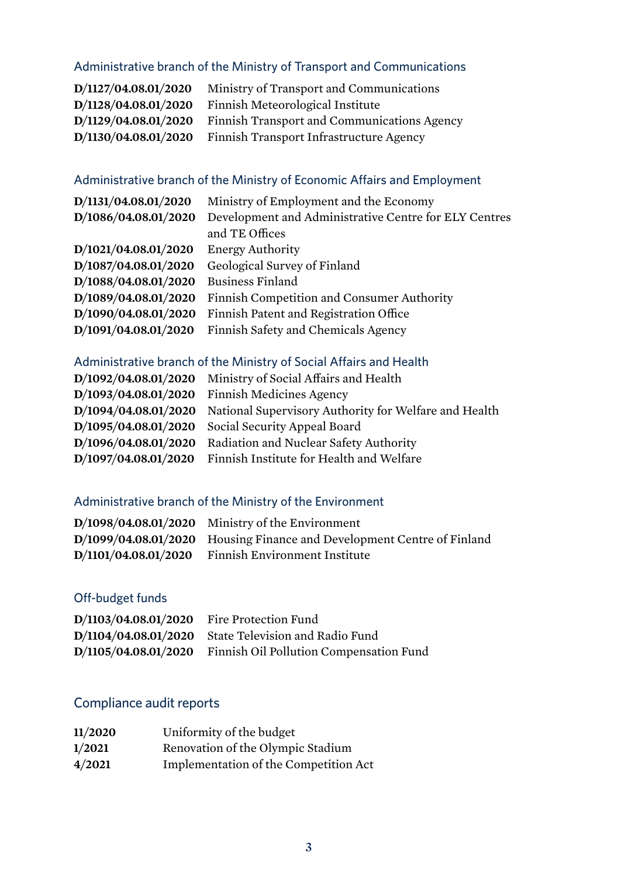# Administrative branch of the Ministry of Transport and Communications

| D/1127/04.08.01/2020 | Ministry of Transport and Communications    |
|----------------------|---------------------------------------------|
| D/1128/04.08.01/2020 | Finnish Meteorological Institute            |
| D/1129/04.08.01/2020 | Finnish Transport and Communications Agency |
| D/1130/04.08.01/2020 | Finnish Transport Infrastructure Agency     |

# Administrative branch of the Ministry of Economic Affairs and Employment

| D/1131/04.08.01/2020 | Ministry of Employment and the Economy                |
|----------------------|-------------------------------------------------------|
| D/1086/04.08.01/2020 | Development and Administrative Centre for ELY Centres |
|                      | and TE Offices                                        |
| D/1021/04.08.01/2020 | <b>Energy Authority</b>                               |
| D/1087/04.08.01/2020 | Geological Survey of Finland                          |
| D/1088/04.08.01/2020 | <b>Business Finland</b>                               |
| D/1089/04.08.01/2020 | Finnish Competition and Consumer Authority            |
| D/1090/04.08.01/2020 | Finnish Patent and Registration Office                |
| D/1091/04.08.01/2020 | Finnish Safety and Chemicals Agency                   |

# Administrative branch of the Ministry of Social Affairs and Health

|                      | D/1092/04.08.01/2020 Ministry of Social Affairs and Health |
|----------------------|------------------------------------------------------------|
|                      | $D/1093/04.08.01/2020$ Finnish Medicines Agency            |
| D/1094/04.08.01/2020 | National Supervisory Authority for Welfare and Health      |
|                      | D/1095/04.08.01/2020 Social Security Appeal Board          |
| D/1096/04.08.01/2020 | Radiation and Nuclear Safety Authority                     |
| D/1097/04.08.01/2020 | Finnish Institute for Health and Welfare                   |

# Administrative branch of the Ministry of the Environment

| $D/1098/04.08.01/2020$ Ministry of the Environment                     |
|------------------------------------------------------------------------|
| D/1099/04.08.01/2020 Housing Finance and Development Centre of Finland |
| D/1101/04.08.01/2020 Finnish Environment Institute                     |

# Off-budget funds

| D/1103/04.08.01/2020 | Fire Protection Fund                                         |
|----------------------|--------------------------------------------------------------|
|                      | D/1104/04.08.01/2020 State Television and Radio Fund         |
|                      | D/1105/04.08.01/2020 Finnish Oil Pollution Compensation Fund |

# Compliance audit reports

| 11/2020 | Uniformity of the budget              |
|---------|---------------------------------------|
| 1/2021  | Renovation of the Olympic Stadium     |
| 4/2021  | Implementation of the Competition Act |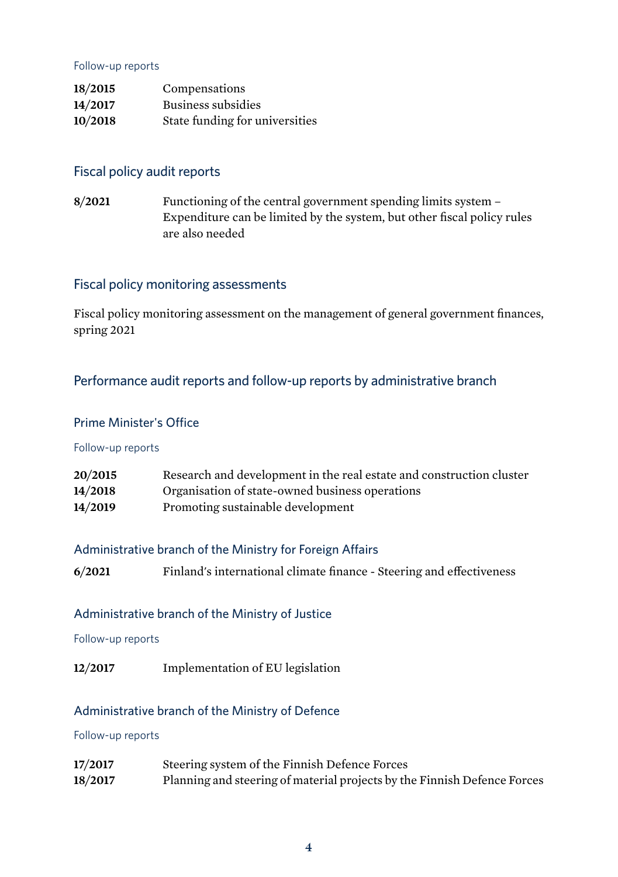#### Follow-up reports

| 18/2015 | Compensations                  |
|---------|--------------------------------|
| 14/2017 | Business subsidies             |
| 10/2018 | State funding for universities |

## Fiscal policy audit reports

**8/2021** Functioning of the central government spending limits system – Expenditure can be limited by the system, but other fiscal policy rules are also needed

## Fiscal policy monitoring assessments

Fiscal policy monitoring assessment on the management of general government finances, spring 2021

# Performance audit reports and follow-up reports by administrative branch

#### Prime Minister's Office

#### Follow-up reports

| 20/2015 | Research and development in the real estate and construction cluster |
|---------|----------------------------------------------------------------------|
| 14/2018 | Organisation of state-owned business operations                      |
| 14/2019 | Promoting sustainable development                                    |

#### Administrative branch of the Ministry for Foreign Affairs

| 6/2021<br>Finland's international climate finance - Steering and effectiveness |  |
|--------------------------------------------------------------------------------|--|
|--------------------------------------------------------------------------------|--|

#### Administrative branch of the Ministry of Justice

Follow-up reports

**12/2017** Implementation of EU legislation

#### Administrative branch of the Ministry of Defence

#### Follow-up reports

**17/2017** Steering system of the Finnish Defence Forces **18/2017** Planning and steering of material projects by the Finnish Defence Forces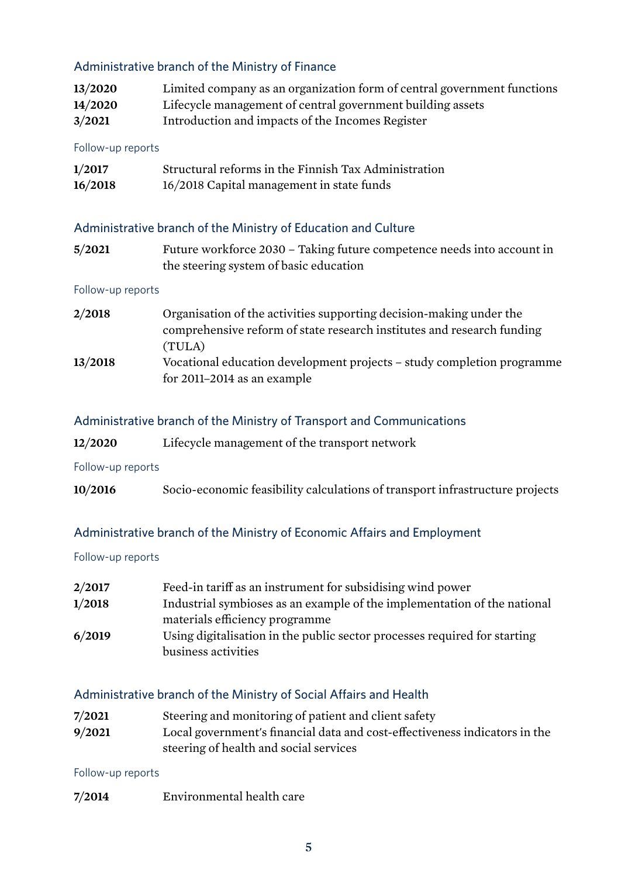# Administrative branch of the Ministry of Finance

| 13/2020 | Limited company as an organization form of central government functions |
|---------|-------------------------------------------------------------------------|
| 14/2020 | Lifecycle management of central government building assets              |
| 3/2021  | Introduction and impacts of the Incomes Register                        |

#### Follow-up reports

| 1/2017  | Structural reforms in the Finnish Tax Administration |
|---------|------------------------------------------------------|
| 16/2018 | 16/2018 Capital management in state funds            |

## Administrative branch of the Ministry of Education and Culture

| 5/2021 | Future workforce 2030 – Taking future competence needs into account in |
|--------|------------------------------------------------------------------------|
|        | the steering system of basic education                                 |

#### Follow-up reports

| 2/2018  | Organisation of the activities supporting decision-making under the                                   |
|---------|-------------------------------------------------------------------------------------------------------|
|         | comprehensive reform of state research institutes and research funding                                |
|         | (TULA)                                                                                                |
| 13/2018 | Vocational education development projects - study completion programme<br>for 2011-2014 as an example |
|         |                                                                                                       |

#### Administrative branch of the Ministry of Transport and Communications

| 12/2020 | Lifecycle management of the transport network |  |
|---------|-----------------------------------------------|--|
|---------|-----------------------------------------------|--|

#### Follow-up reports

| 10/2016 |                                                                              |  |  |  |
|---------|------------------------------------------------------------------------------|--|--|--|
|         | Socio-economic feasibility calculations of transport infrastructure projects |  |  |  |

#### Administrative branch of the Ministry of Economic Affairs and Employment

#### Follow-up reports

| 2/2017 | Feed-in tariff as an instrument for subsidising wind power                |
|--------|---------------------------------------------------------------------------|
| 1/2018 | Industrial symbioses as an example of the implementation of the national  |
|        | materials efficiency programme                                            |
| 6/2019 | Using digitalisation in the public sector processes required for starting |
|        | business activities                                                       |

## Administrative branch of the Ministry of Social Affairs and Health

**7/2021** Steering and monitoring of patient and client safety **9/2021** Local government's financial data and cost-effectiveness indicators in the steering of health and social services

#### Follow-up reports

**7/2014** Environmental health care